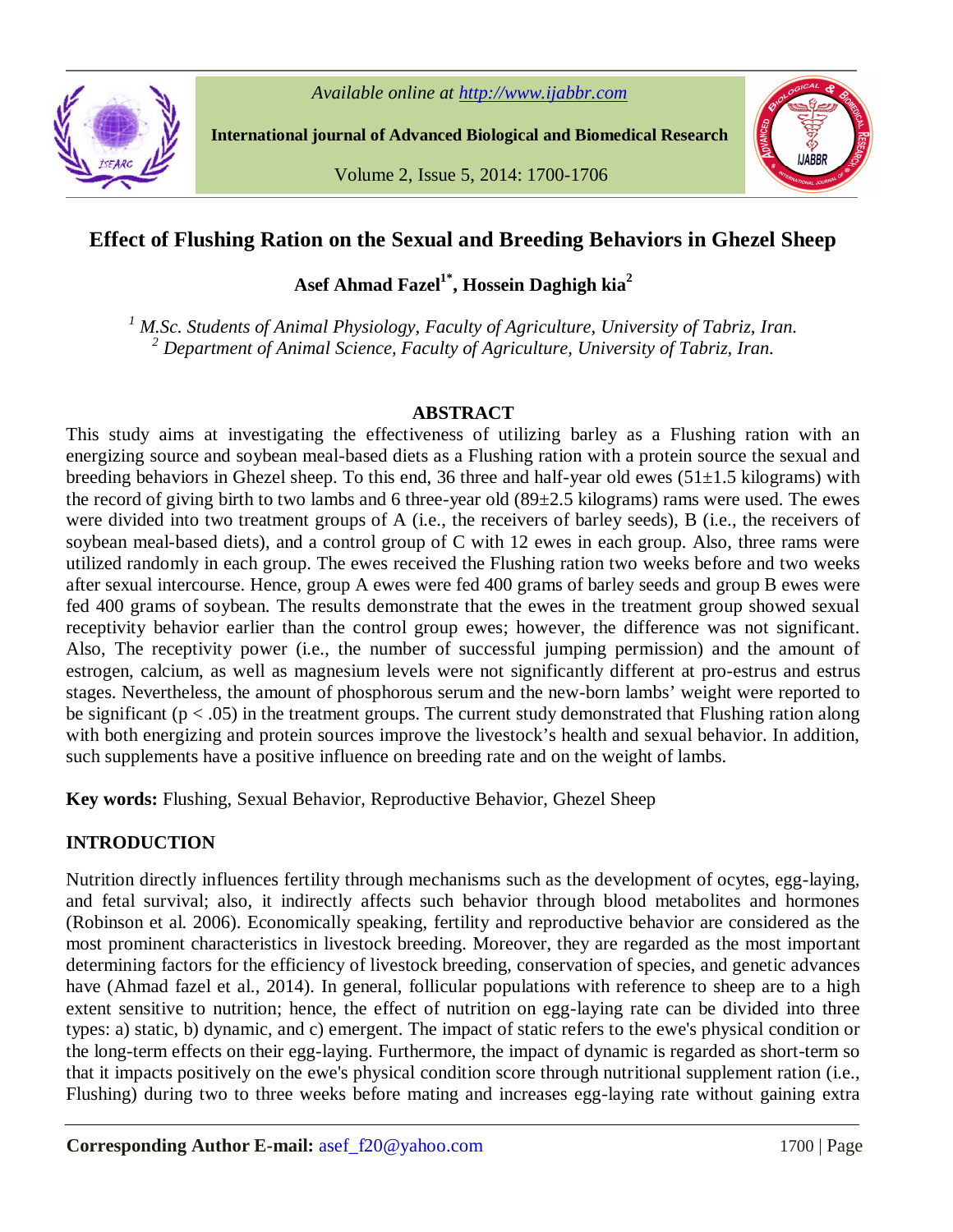

*Available online at http://www.ijabbr.com*

**International journal of Advanced Biological and Biomedical Research**

Volume 2, Issue 5, 2014: 1700-1706



# **Effect of Flushing Ration on the Sexual and Breeding Behaviors in Ghezel Sheep**

**Asef Ahmad Fazel1\*, Hossein Daghigh kia<sup>2</sup>**

*<sup>1</sup> M.Sc. Students of Animal Physiology, Faculty of Agriculture, University of Tabriz, Iran. <sup>2</sup> Department of Animal Science, Faculty of Agriculture, University of Tabriz, Iran.*

# **ABSTRACT**

This study aims at investigating the effectiveness of utilizing barley as a Flushing ration with an energizing source and soybean meal-based diets as a Flushing ration with a protein source the sexual and breeding behaviors in Ghezel sheep. To this end, 36 three and half-year old ewes (51±1.5 kilograms) with the record of giving birth to two lambs and 6 three-year old (89±2.5 kilograms) rams were used. The ewes were divided into two treatment groups of A (i.e., the receivers of barley seeds), B (i.e., the receivers of soybean meal-based diets), and a control group of C with 12 ewes in each group. Also, three rams were utilized randomly in each group. The ewes received the Flushing ration two weeks before and two weeks after sexual intercourse. Hence, group A ewes were fed 400 grams of barley seeds and group B ewes were fed 400 grams of soybean. The results demonstrate that the ewes in the treatment group showed sexual receptivity behavior earlier than the control group ewes; however, the difference was not significant. Also, The receptivity power (i.e., the number of successful jumping permission) and the amount of estrogen, calcium, as well as magnesium levels were not significantly different at pro-estrus and estrus stages. Nevertheless, the amount of phosphorous serum and the new-born lambs' weight were reported to be significant ( $p < .05$ ) in the treatment groups. The current study demonstrated that Flushing ration along with both energizing and protein sources improve the livestock's health and sexual behavior. In addition, such supplements have a positive influence on breeding rate and on the weight of lambs.

**Key words:** Flushing, Sexual Behavior, Reproductive Behavior, Ghezel Sheep

# **INTRODUCTION**

Nutrition directly influences fertility through mechanisms such as the development of ocytes, egg-laying, and fetal survival; also, it indirectly affects such behavior through blood metabolites and hormones (Robinson et al. 2006). Economically speaking, fertility and reproductive behavior are considered as the most prominent characteristics in livestock breeding. Moreover, they are regarded as the most important determining factors for the efficiency of livestock breeding, conservation of species, and genetic advances have (Ahmad fazel et al., 2014). In general, follicular populations with reference to sheep are to a high extent sensitive to nutrition; hence, the effect of nutrition on egg-laying rate can be divided into three types: a) static, b) dynamic, and c) emergent. The impact of static refers to the ewe's physical condition or the long-term effects on their egg-laying. Furthermore, the impact of dynamic is regarded as short-term so that it impacts positively on the ewe's physical condition score through nutritional supplement ration (i.e., Flushing) during two to three weeks before mating and increases egg-laying rate without gaining extra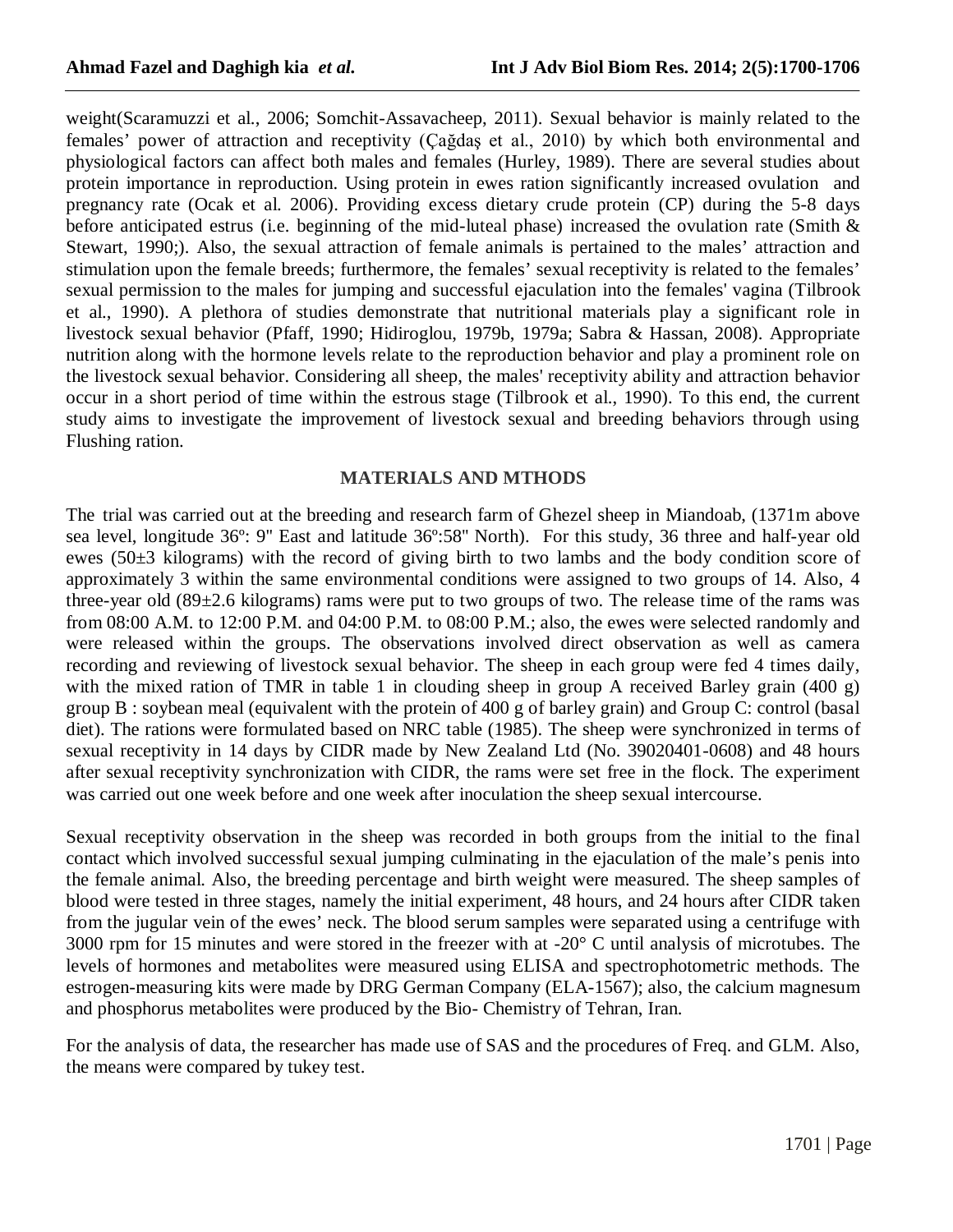weight(Scaramuzzi et al., 2006; Somchit-Assavacheep, 2011). Sexual behavior is mainly related to the females' power of attraction and receptivity (Çağdaş et al., 2010) by which both environmental and physiological factors can affect both males and females (Hurley, 1989). There are several studies about protein importance in reproduction. Using protein in ewes ration significantly increased ovulation and pregnancy rate (Ocak et al. 2006). Providing excess dietary crude protein (CP) during the 5-8 days before anticipated estrus (i.e. beginning of the mid-luteal phase) increased the ovulation rate (Smith & Stewart, 1990;). Also, the sexual attraction of female animals is pertained to the males' attraction and stimulation upon the female breeds; furthermore, the females' sexual receptivity is related to the females' sexual permission to the males for jumping and successful ejaculation into the females' vagina (Tilbrook et al., 1990). A plethora of studies demonstrate that nutritional materials play a significant role in livestock sexual behavior (Pfaff, 1990; Hidiroglou, 1979b, 1979a; Sabra & Hassan, 2008). Appropriate nutrition along with the hormone levels relate to the reproduction behavior and play a prominent role on the livestock sexual behavior. Considering all sheep, the males' receptivity ability and attraction behavior occur in a short period of time within the estrous stage (Tilbrook et al., 1990). To this end, the current study aims to investigate the improvement of livestock sexual and breeding behaviors through using Flushing ration.

#### **MATERIALS AND MTHODS**

The trial was carried out at the breeding and research farm of Ghezel sheep in Miandoab, (1371m above sea level, longitude 36º: 9'' East and latitude 36º:58'' North). For this study, 36 three and half-year old ewes (50±3 kilograms) with the record of giving birth to two lambs and the body condition score of approximately 3 within the same environmental conditions were assigned to two groups of 14. Also, 4 three-year old  $(89\pm 2.6 \text{ kilograms})$  rams were put to two groups of two. The release time of the rams was from 08:00 A.M. to 12:00 P.M. and 04:00 P.M. to 08:00 P.M.; also, the ewes were selected randomly and were released within the groups. The observations involved direct observation as well as camera recording and reviewing of livestock sexual behavior. The sheep in each group were fed 4 times daily, with the mixed ration of TMR in table 1 in clouding sheep in group A received Barley grain (400 g) group B : soybean meal (equivalent with the protein of 400 g of barley grain) and Group C: control (basal diet). The rations were formulated based on NRC table (1985). The sheep were synchronized in terms of sexual receptivity in 14 days by CIDR made by New Zealand Ltd (No. 39020401-0608) and 48 hours after sexual receptivity synchronization with CIDR, the rams were set free in the flock. The experiment was carried out one week before and one week after inoculation the sheep sexual intercourse.

Sexual receptivity observation in the sheep was recorded in both groups from the initial to the final contact which involved successful sexual jumping culminating in the ejaculation of the male's penis into the female animal. Also, the breeding percentage and birth weight were measured. The sheep samples of blood were tested in three stages, namely the initial experiment, 48 hours, and 24 hours after CIDR taken from the jugular vein of the ewes' neck. The blood serum samples were separated using a centrifuge with 3000 rpm for 15 minutes and were stored in the freezer with at -20° C until analysis of microtubes. The levels of hormones and metabolites were measured using ELISA and spectrophotometric methods. The estrogen-measuring kits were made by DRG German Company (ELA-1567); also, the calcium magnesum and phosphorus metabolites were produced by the Bio- Chemistry of Tehran, Iran.

For the analysis of data, the researcher has made use of SAS and the procedures of Freq. and GLM. Also, the means were compared by tukey test.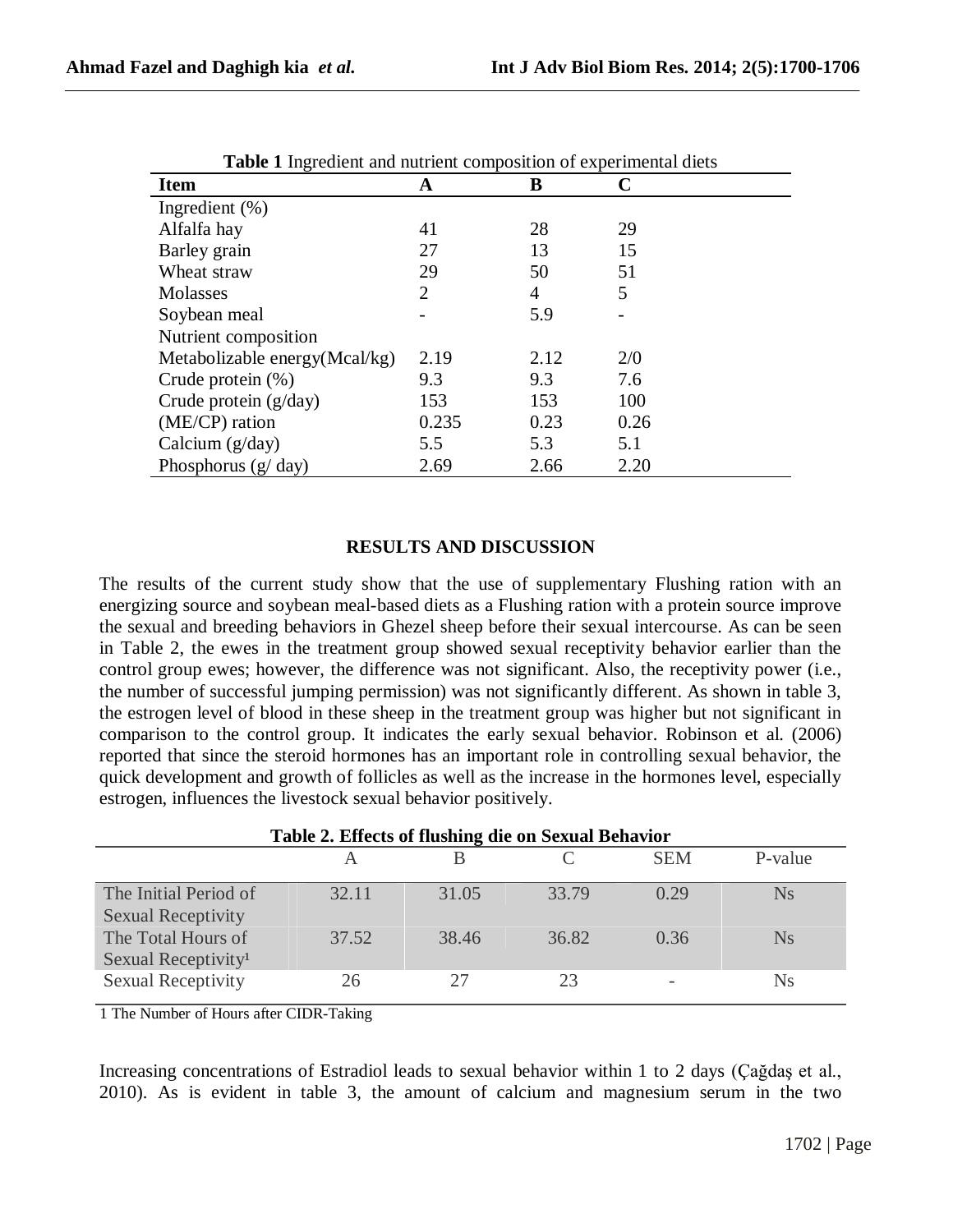| <b>Table 1</b> ingredient and nutrient composition of experimental diets |       |      |      |  |  |
|--------------------------------------------------------------------------|-------|------|------|--|--|
| <b>Item</b>                                                              | A     | B    |      |  |  |
| Ingredient $(\% )$                                                       |       |      |      |  |  |
| Alfalfa hay                                                              | 41    | 28   | 29   |  |  |
| Barley grain                                                             | 27    | 13   | 15   |  |  |
| Wheat straw                                                              | 29    | 50   | 51   |  |  |
| <b>Molasses</b>                                                          | 2     | 4    | 5    |  |  |
| Soybean meal                                                             |       | 5.9  |      |  |  |
| Nutrient composition                                                     |       |      |      |  |  |
| Metabolizable energy(Mcal/kg)                                            | 2.19  | 2.12 | 2/0  |  |  |
| Crude protein $(\%)$                                                     | 9.3   | 9.3  | 7.6  |  |  |
| Crude protein $(g/day)$                                                  | 153   | 153  | 100  |  |  |
| (ME/CP) ration                                                           | 0.235 | 0.23 | 0.26 |  |  |
| Calcium $(g/day)$                                                        | 5.5   | 5.3  | 5.1  |  |  |
| Phosphorus $(g/day)$                                                     | 2.69  | 2.66 | 2.20 |  |  |

|  |  | <b>Table 1</b> Ingredient and nutrient composition of experimental diets |  |
|--|--|--------------------------------------------------------------------------|--|
|  |  |                                                                          |  |

# **RESULTS AND DISCUSSION**

The results of the current study show that the use of supplementary Flushing ration with an energizing source and soybean meal-based diets as a Flushing ration with a protein source improve the sexual and breeding behaviors in Ghezel sheep before their sexual intercourse. As can be seen in Table 2, the ewes in the treatment group showed sexual receptivity behavior earlier than the control group ewes; however, the difference was not significant. Also, the receptivity power (i.e., the number of successful jumping permission) was not significantly different. As shown in table 3, the estrogen level of blood in these sheep in the treatment group was higher but not significant in comparison to the control group. It indicates the early sexual behavior. Robinson et al. (2006) reported that since the steroid hormones has an important role in controlling sexual behavior, the quick development and growth of follicles as well as the increase in the hormones level, especially estrogen, influences the livestock sexual behavior positively.

| Table 2. Effects of flushing die on Sexual Behavior   |       |       |       |            |           |  |
|-------------------------------------------------------|-------|-------|-------|------------|-----------|--|
|                                                       |       |       |       | <b>SEM</b> | P-value   |  |
| The Initial Period of<br><b>Sexual Receptivity</b>    | 32.11 | 31.05 | 33.79 | 0.29       | <b>Ns</b> |  |
| The Total Hours of<br>Sexual Receptivity <sup>1</sup> | 37.52 | 38.46 | 36.82 | 0.36       | <b>Ns</b> |  |
| <b>Sexual Receptivity</b>                             | 26    | 27    | 23    |            | <b>Ns</b> |  |

1 The Number of Hours after CIDR-Taking

Increasing concentrations of Estradiol leads to sexual behavior within 1 to 2 days (Çağdaş et al., 2010). As is evident in table 3, the amount of calcium and magnesium serum in the two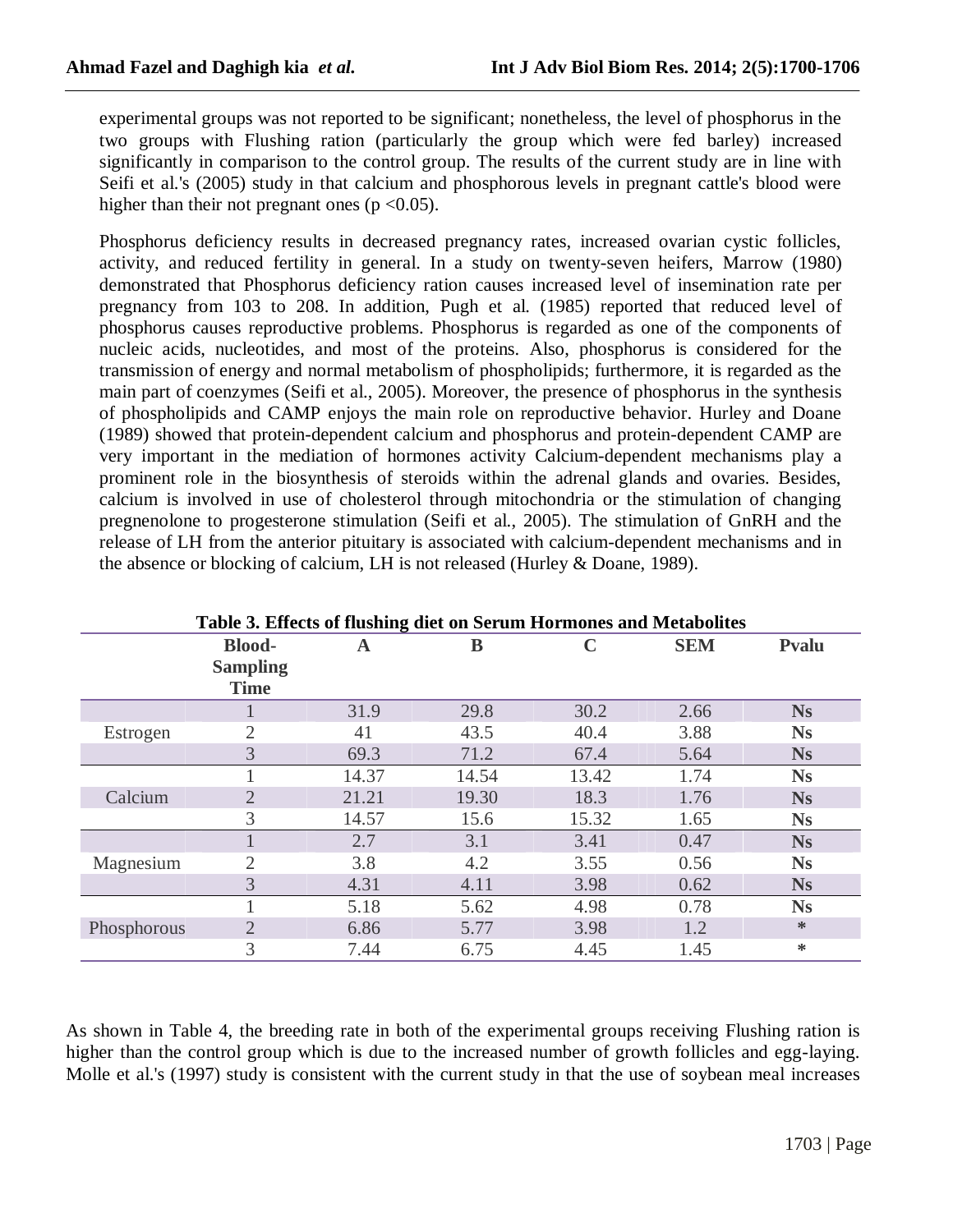experimental groups was not reported to be significant; nonetheless, the level of phosphorus in the two groups with Flushing ration (particularly the group which were fed barley) increased significantly in comparison to the control group. The results of the current study are in line with Seifi et al.'s (2005) study in that calcium and phosphorous levels in pregnant cattle's blood were higher than their not pregnant ones ( $p \le 0.05$ ).

Phosphorus deficiency results in decreased pregnancy rates, increased ovarian cystic follicles, activity, and reduced fertility in general. In a study on twenty-seven heifers, Marrow (1980) demonstrated that Phosphorus deficiency ration causes increased level of insemination rate per pregnancy from 103 to 208. In addition, Pugh et al. (1985) reported that reduced level of phosphorus causes reproductive problems. Phosphorus is regarded as one of the components of nucleic acids, nucleotides, and most of the proteins. Also, phosphorus is considered for the transmission of energy and normal metabolism of phospholipids; furthermore, it is regarded as the main part of coenzymes (Seifi et al., 2005). Moreover, the presence of phosphorus in the synthesis of phospholipids and CAMP enjoys the main role on reproductive behavior. Hurley and Doane (1989) showed that protein-dependent calcium and phosphorus and protein-dependent CAMP are very important in the mediation of hormones activity Calcium-dependent mechanisms play a prominent role in the biosynthesis of steroids within the adrenal glands and ovaries. Besides, calcium is involved in use of cholesterol through mitochondria or the stimulation of changing pregnenolone to progesterone stimulation (Seifi et al., 2005). The stimulation of GnRH and the release of LH from the anterior pituitary is associated with calcium-dependent mechanisms and in the absence or blocking of calcium, LH is not released (Hurley & Doane, 1989).

| Table 3. Effects of flushing diet on Serum Hormones and Metabolites |                                |       |       |       |            |           |
|---------------------------------------------------------------------|--------------------------------|-------|-------|-------|------------|-----------|
|                                                                     | <b>Blood-</b>                  | A     | B     |       | <b>SEM</b> | Pvalu     |
|                                                                     | <b>Sampling</b><br><b>Time</b> |       |       |       |            |           |
|                                                                     |                                | 31.9  | 29.8  | 30.2  | 2.66       | <b>Ns</b> |
| Estrogen                                                            | 2                              | 41    | 43.5  | 40.4  | 3.88       | <b>Ns</b> |
|                                                                     | 3                              | 69.3  | 71.2  | 67.4  | 5.64       | <b>Ns</b> |
|                                                                     |                                | 14.37 | 14.54 | 13.42 | 1.74       | <b>Ns</b> |
| Calcium                                                             | $\overline{2}$                 | 21.21 | 19.30 | 18.3  | 1.76       | <b>Ns</b> |
|                                                                     | 3                              | 14.57 | 15.6  | 15.32 | 1.65       | <b>Ns</b> |
|                                                                     |                                | 2.7   | 3.1   | 3.41  | 0.47       | <b>Ns</b> |
| Magnesium                                                           | 2                              | 3.8   | 4.2   | 3.55  | 0.56       | <b>Ns</b> |
|                                                                     | 3                              | 4.31  | 4.11  | 3.98  | 0.62       | <b>Ns</b> |
|                                                                     |                                | 5.18  | 5.62  | 4.98  | 0.78       | <b>Ns</b> |
| Phosphorous                                                         | $\overline{2}$                 | 6.86  | 5.77  | 3.98  | 1.2        | *         |
|                                                                     | 3                              | 7.44  | 6.75  | 4.45  | 1.45       | ∗         |

As shown in Table 4, the breeding rate in both of the experimental groups receiving Flushing ration is higher than the control group which is due to the increased number of growth follicles and egg-laying. Molle et al.'s (1997) study is consistent with the current study in that the use of soybean meal increases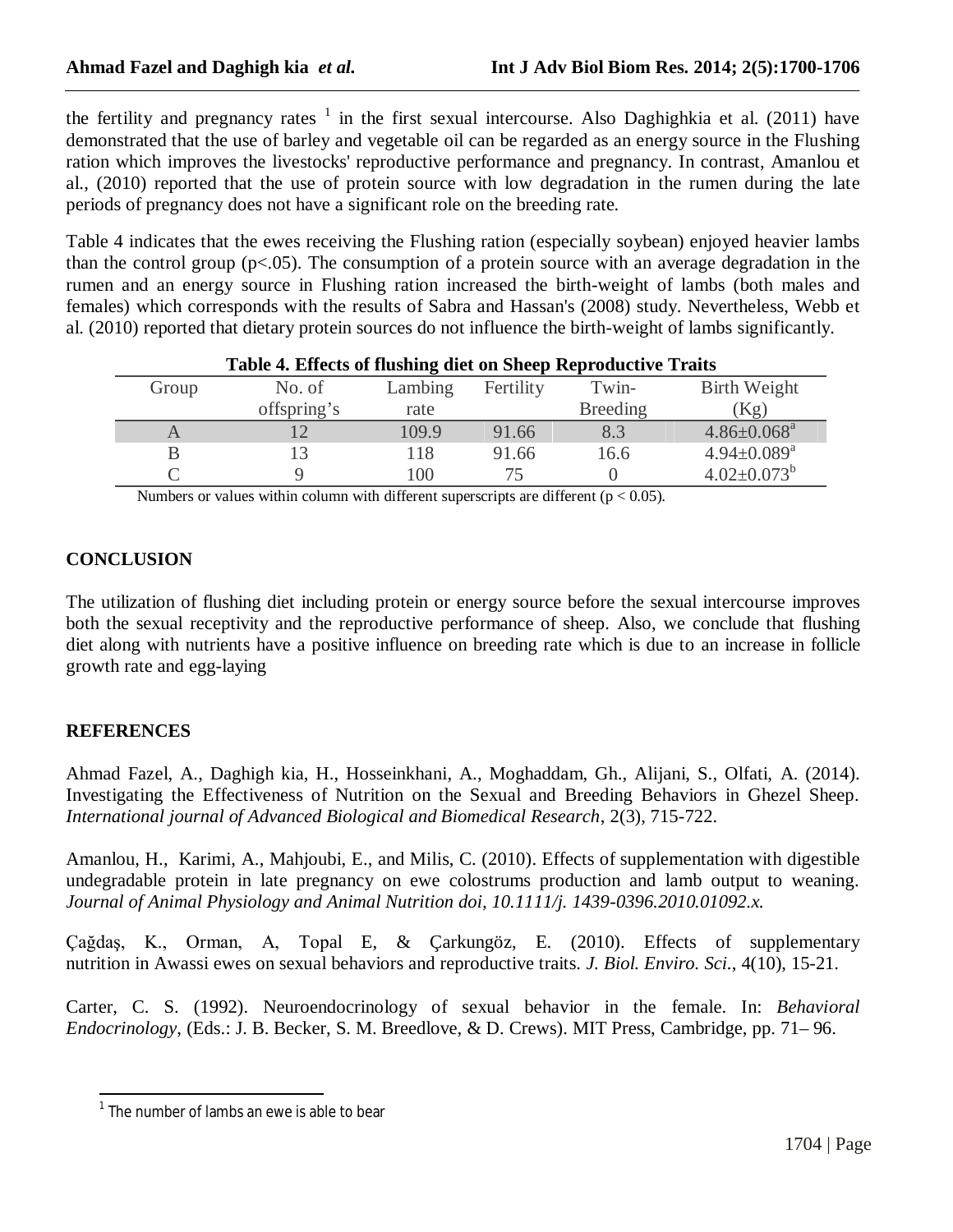the fertility and pregnancy rates  $1$  in the first sexual intercourse. Also Daghighkia et al. (2011) have demonstrated that the use of barley and vegetable oil can be regarded as an energy source in the Flushing ration which improves the livestocks' reproductive performance and pregnancy. In contrast, Amanlou et al., (2010) reported that the use of protein source with low degradation in the rumen during the late periods of pregnancy does not have a significant role on the breeding rate.

Table 4 indicates that the ewes receiving the Flushing ration (especially soybean) enjoyed heavier lambs than the control group (p<.05). The consumption of a protein source with an average degradation in the rumen and an energy source in Flushing ration increased the birth-weight of lambs (both males and females) which corresponds with the results of Sabra and Hassan's (2008) study. Nevertheless, Webb et al. (2010) reported that dietary protein sources do not influence the birth-weight of lambs significantly.

| Table 4. Effects of flushing diet on Sheep Reproductive Traits |             |         |           |                 |                             |  |
|----------------------------------------------------------------|-------------|---------|-----------|-----------------|-----------------------------|--|
| Group                                                          | No. of      | Lambing | Fertility | Twin-           | Birth Weight                |  |
|                                                                | offspring's | rate    |           | <b>Breeding</b> | (Kg)                        |  |
|                                                                |             | 109.9   | 91.66     | 8.3             | $4.86 \pm 0.068^a$          |  |
|                                                                |             | 118     | 91.66     | 16.6            | $4.94 \pm 0.089^{\text{a}}$ |  |
|                                                                |             | 100     |           |                 | $4.02 \pm 0.073^b$          |  |

Numbers or values within column with different superscripts are different ( $p < 0.05$ ).

# **CONCLUSION**

The utilization of flushing diet including protein or energy source before the sexual intercourse improves both the sexual receptivity and the reproductive performance of sheep. Also, we conclude that flushing diet along with nutrients have a positive influence on breeding rate which is due to an increase in follicle growth rate and egg-laying

# **REFERENCES**

Ahmad Fazel, A., Daghigh kia, H., Hosseinkhani, A., Moghaddam, Gh., Alijani, S., Olfati, A. (2014). Investigating the Effectiveness of Nutrition on the Sexual and Breeding Behaviors in Ghezel Sheep. *International journal of Advanced Biological and Biomedical Research*, 2(3), 715-722.

Amanlou, H., Karimi, A., Mahjoubi, E., and Milis, C. (2010). Effects of supplementation with digestible undegradable protein in late pregnancy on ewe colostrums production and lamb output to weaning. *Journal of Animal Physiology and Animal Nutrition doi, 10.1111/j. 1439-0396.2010.01092.x.*

Çağdaş, K., Orman, A, Topal E, & Çarkungöz, E. (2010). Effects of supplementary nutrition in Awassi ewes on sexual behaviors and reproductive traits. *J. Biol. Enviro. Sci.*, 4(10), 15-21.

Carter, C. S. (1992). Neuroendocrinology of sexual behavior in the female. In: *Behavioral Endocrinology*, (Eds.: J. B. Becker, S. M. Breedlove, & D. Crews). MIT Press, Cambridge, pp. 71– 96.

The number of lambs an ewe is able to bear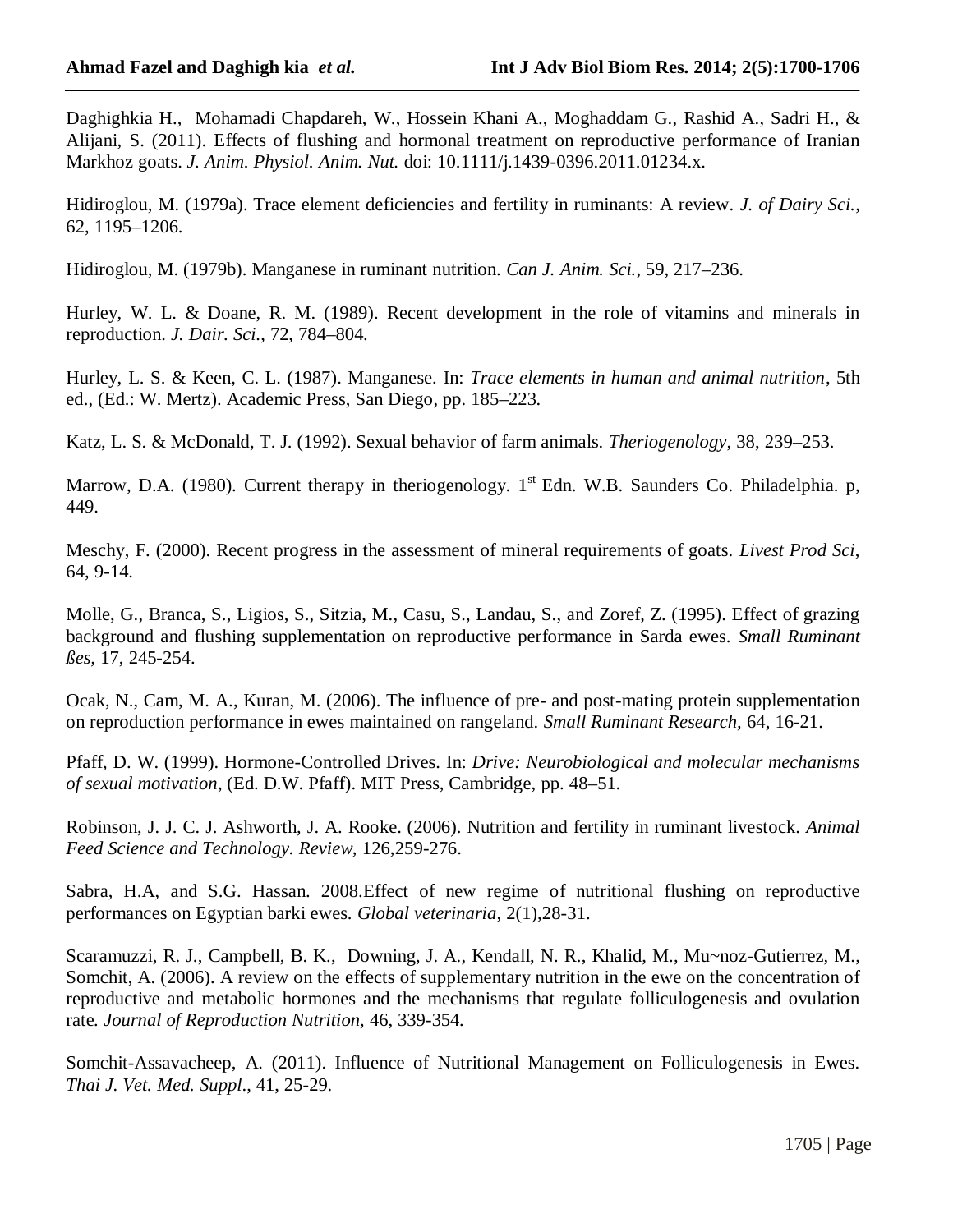Daghighkia H., Mohamadi Chapdareh, W., Hossein Khani A., Moghaddam G., Rashid A., Sadri H., & Alijani, S. (2011). Effects of flushing and hormonal treatment on reproductive performance of Iranian Markhoz goats. *J. Anim. Physiol. Anim. Nut.* doi: 10.1111/j.1439-0396.2011.01234.x.

Hidiroglou, M. (1979a). Trace element deficiencies and fertility in ruminants: A review. *J. of Dairy Sci.*, 62, 1195–1206.

Hidiroglou, M. (1979b). Manganese in ruminant nutrition. *Can J. Anim. Sci.*, 59, 217–236.

Hurley, W. L. & Doane, R. M. (1989). Recent development in the role of vitamins and minerals in reproduction. *J. Dair. Sci.*, 72, 784–804.

Hurley, L. S. & Keen, C. L. (1987). Manganese. In: *Trace elements in human and animal nutrition*, 5th ed., (Ed.: W. Mertz). Academic Press, San Diego, pp. 185–223.

Katz, L. S. & McDonald, T. J. (1992). Sexual behavior of farm animals. *Theriogenology*, 38, 239–253.

Marrow, D.A. (1980). Current therapy in theriogenology.  $1<sup>st</sup>$  Edn. W.B. Saunders Co. Philadelphia. p, 449.

Meschy, F. (2000). Recent progress in the assessment of mineral requirements of goats. *Livest Prod Sci*, 64, 9-14.

Molle, G., Branca, S., Ligios, S., Sitzia, M., Casu, S., Landau, S., and Zoref, Z. (1995). Effect of grazing background and flushing supplementation on reproductive performance in Sarda ewes. *Small Ruminant ßes,* 17, 245-254.

Ocak, N., Cam, M. A., Kuran, M. (2006). The influence of pre- and post-mating protein supplementation on reproduction performance in ewes maintained on rangeland. *Small Ruminant Research,* 64, 16-21.

Pfaff, D. W. (1999). Hormone-Controlled Drives. In: *Drive: Neurobiological and molecular mechanisms of sexual motivation*, (Ed. D.W. Pfaff). MIT Press, Cambridge, pp. 48–51.

Robinson, J. J. C. J. Ashworth, J. A. Rooke. (2006). Nutrition and fertility in ruminant livestock. *Animal Feed Science and Technology. Review,* 126,259-276.

Sabra, H.A, and S.G. Hassan. 2008.Effect of new regime of nutritional flushing on reproductive performances on Egyptian barki ewes. *Global veterinaria*, 2(1),28-31.

Scaramuzzi, R. J., Campbell, B. K., Downing, J. A., Kendall, N. R., Khalid, M., Mu~noz-Gutierrez, M., Somchit, A. (2006). A review on the effects of supplementary nutrition in the ewe on the concentration of reproductive and metabolic hormones and the mechanisms that regulate folliculogenesis and ovulation rate*. Journal of Reproduction Nutrition,* 46, 339-354*.*

Somchit-Assavacheep, A. (2011). Influence of Nutritional Management on Folliculogenesis in Ewes. *Thai J. Vet. Med. Suppl*., 41, 25-29.